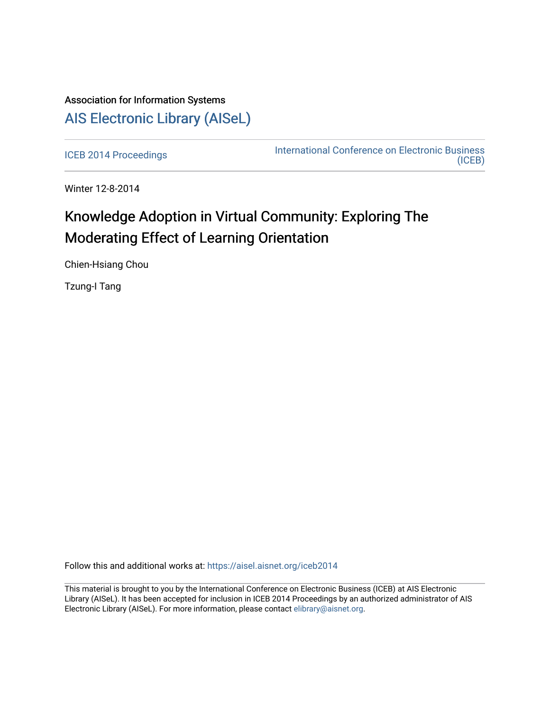## Association for Information Systems [AIS Electronic Library \(AISeL\)](https://aisel.aisnet.org/)

[ICEB 2014 Proceedings](https://aisel.aisnet.org/iceb2014) **International Conference on Electronic Business** [\(ICEB\)](https://aisel.aisnet.org/iceb) 

Winter 12-8-2014

# Knowledge Adoption in Virtual Community: Exploring The Moderating Effect of Learning Orientation

Chien-Hsiang Chou

Tzung-I Tang

Follow this and additional works at: [https://aisel.aisnet.org/iceb2014](https://aisel.aisnet.org/iceb2014?utm_source=aisel.aisnet.org%2Ficeb2014%2F32&utm_medium=PDF&utm_campaign=PDFCoverPages)

This material is brought to you by the International Conference on Electronic Business (ICEB) at AIS Electronic Library (AISeL). It has been accepted for inclusion in ICEB 2014 Proceedings by an authorized administrator of AIS Electronic Library (AISeL). For more information, please contact [elibrary@aisnet.org.](mailto:elibrary@aisnet.org%3E)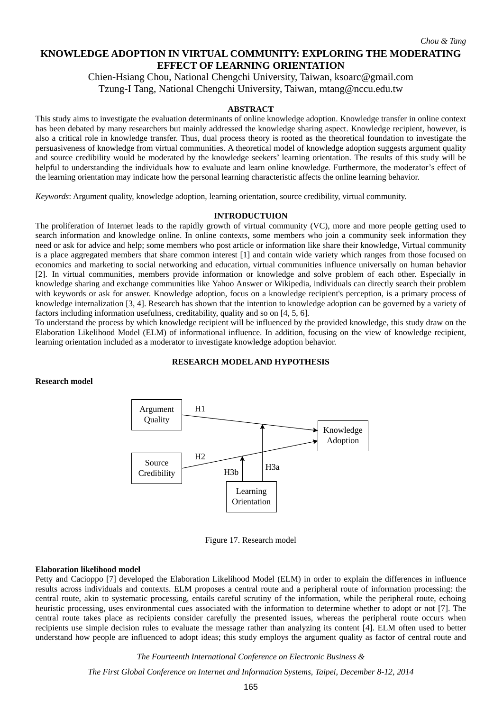*Chou & Tang*

## **KNOWLEDGE ADOPTION IN VIRTUAL COMMUNITY: EXPLORING THE MODERATING EFFECT OF LEARNING ORIENTATION**

Chien-Hsiang Chou, National Chengchi University, Taiwan, ksoarc@gmail.com Tzung-I Tang, National Chengchi University, Taiwan, mtang@nccu.edu.tw

#### **ABSTRACT**

This study aims to investigate the evaluation determinants of online knowledge adoption. Knowledge transfer in online context has been debated by many researchers but mainly addressed the knowledge sharing aspect. Knowledge recipient, however, is also a critical role in knowledge transfer. Thus, dual process theory is rooted as the theoretical foundation to investigate the persuasiveness of knowledge from virtual communities. A theoretical model of knowledge adoption suggests argument quality and source credibility would be moderated by the knowledge seekers' learning orientation. The results of this study will be helpful to understanding the individuals how to evaluate and learn online knowledge. Furthermore, the moderator's effect of the learning orientation may indicate how the personal learning characteristic affects the online learning behavior.

*Keywords*: Argument quality, knowledge adoption, learning orientation, source credibility, virtual community.

#### **INTRODUCTUION**

The proliferation of Internet leads to the rapidly growth of virtual community (VC), more and more people getting used to search information and knowledge online. In online contexts, some members who join a community seek information they need or ask for advice and help; some members who post article or information like share their knowledge, Virtual community is a place aggregated members that share common interest [1] and contain wide variety which ranges from those focused on economics and marketing to social networking and education, virtual communities influence universally on human behavior [2]. In virtual communities, members provide information or knowledge and solve problem of each other. Especially in knowledge sharing and exchange communities like Yahoo Answer or Wikipedia, individuals can directly search their problem with keywords or ask for answer. Knowledge adoption, focus on a knowledge recipient's perception, is a primary process of knowledge internalization [3, 4]. Research has shown that the intention to knowledge adoption can be governed by a variety of factors including information usefulness, creditability, quality and so on [4, 5, 6].

To understand the process by which knowledge recipient will be influenced by the provided knowledge, this study draw on the Elaboration Likelihood Model (ELM) of informational influence. In addition, focusing on the view of knowledge recipient, learning orientation included as a moderator to investigate knowledge adoption behavior.

#### **RESEARCH MODEL AND HYPOTHESIS**

**Research model** 



Figure 17. Research model

#### **Elaboration likelihood model**

Petty and Cacioppo [7] developed the Elaboration Likelihood Model (ELM) in order to explain the differences in influence results across individuals and contexts. ELM proposes a central route and a peripheral route of information processing: the central route, akin to systematic processing, entails careful scrutiny of the information, while the peripheral route, echoing heuristic processing, uses environmental cues associated with the information to determine whether to adopt or not [7]. The central route takes place as recipients consider carefully the presented issues, whereas the peripheral route occurs when recipients use simple decision rules to evaluate the message rather than analyzing its content [4]. ELM often used to better understand how people are influenced to adopt ideas; this study employs the argument quality as factor of central route and

*The Fourteenth International Conference on Electronic Business &*

*The First Global Conference on Internet and Information Systems, Taipei, December 8-12, 2014*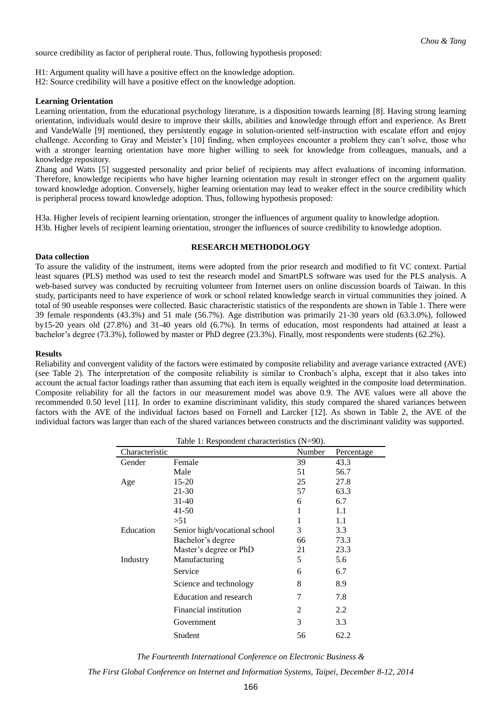source credibility as factor of peripheral route. Thus, following hypothesis proposed:

H1: Argument quality will have a positive effect on the knowledge adoption.

H2: Source credibility will have a positive effect on the knowledge adoption.

#### **Learning Orientation**

Learning orientation, from the educational psychology literature, is a disposition towards learning [8]. Having strong learning orientation, individuals would desire to improve their skills, abilities and knowledge through effort and experience. As Brett and VandeWalle [9] mentioned, they persistently engage in solution-oriented self-instruction with escalate effort and enjoy challenge. According to Gray and Meister's [10] finding, when employees encounter a problem they can't solve, those who with a stronger learning orientation have more higher willing to seek for knowledge from colleagues, manuals, and a knowledge repository.

Zhang and Watts [5] suggested personality and prior belief of recipients may affect evaluations of incoming information. Therefore, knowledge recipients who have higher learning orientation may result in stronger effect on the argument quality toward knowledge adoption. Conversely, higher learning orientation may lead to weaker effect in the source credibility which is peripheral process toward knowledge adoption. Thus, following hypothesis proposed:

H3a. Higher levels of recipient learning orientation, stronger the influences of argument quality to knowledge adoption. H3b. Higher levels of recipient learning orientation, stronger the influences of source credibility to knowledge adoption.

### **RESEARCH METHODOLOGY**

To assure the validity of the instrument, items were adopted from the prior research and modified to fit VC context. Partial least squares (PLS) method was used to test the research model and SmartPLS software was used for the PLS analysis. A web-based survey was conducted by recruiting volunteer from Internet users on online discussion boards of Taiwan. In this study, participants need to have experience of work or school related knowledge search in virtual communities they joined. A total of 90 useable responses were collected. Basic characteristic statistics of the respondents are shown in Table 1. There were 39 female respondents (43.3%) and 51 male (56.7%). Age distribution was primarily 21-30 years old (63.3.0%), followed by15-20 years old (27.8%) and 31-40 years old (6.7%). In terms of education, most respondents had attained at least a bachelor's degree (73.3%), followed by master or PhD degree (23.3%). Finally, most respondents were students (62.2%).

#### **Results**

**Data collection**

Reliability and convergent validity of the factors were estimated by composite reliability and average variance extracted (AVE) (see Table 2). The interpretation of the composite reliability is similar to Cronbach's alpha, except that it also takes into account the actual factor loadings rather than assuming that each item is equally weighted in the composite load determination. Composite reliability for all the factors in our measurement model was above 0.9. The AVE values were all above the recommended 0.50 level [11]. In order to examine discriminant validity, this study compared the shared variances between factors with the AVE of the individual factors based on Fornell and Larcker [12]. As shown in Table 2, the AVE of the individual factors was larger than each of the shared variances between constructs and the discriminant validity was supported.

Table 1: Respondent characteristics (N=90).

| Characteristic |                               | Number | Percentage |
|----------------|-------------------------------|--------|------------|
| Gender         | Female                        | 39     | 43.3       |
|                | Male                          | 51     | 56.7       |
| Age            | 15-20                         | 25     | 27.8       |
|                | 21-30                         | 57     | 63.3       |
|                | 31-40                         | 6      | 6.7        |
|                | $41 - 50$                     | 1      | 1.1        |
|                | > 51                          | 1      | 1.1        |
| Education      | Senior high/vocational school | 3      | 3.3        |
|                | Bachelor's degree             | 66     | 73.3       |
|                | Master's degree or PhD        | 21     | 23.3       |
| Industry       | Manufacturing                 | 5      | 5.6        |
|                | Service                       | 6      | 6.7        |
|                | Science and technology        | 8      | 8.9        |
|                | Education and research        | 7      | 7.8        |
|                | Financial institution         | 2      | 2.2        |
|                | Government                    | 3      | 3.3        |
|                | Student                       | 56     | 62.2       |

*The Fourteenth International Conference on Electronic Business &*

*The First Global Conference on Internet and Information Systems, Taipei, December 8-12, 2014*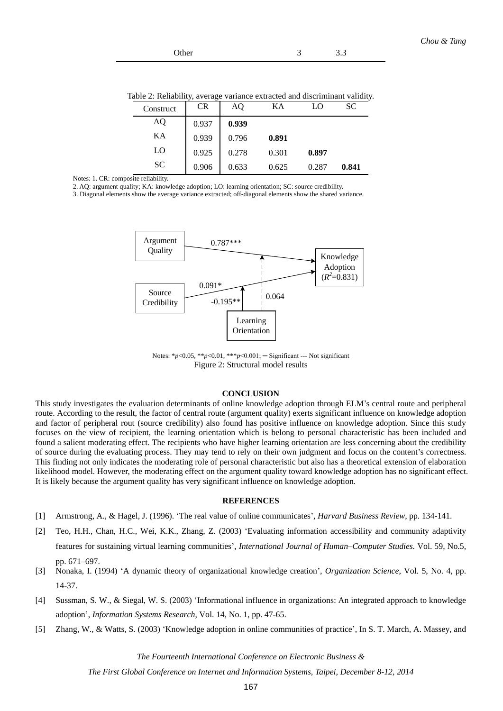| Other | ٠ | 3.3 |
|-------|---|-----|
|       |   |     |

Table 2: Reliability, average variance extracted and discriminant validity.

| Construct | <b>CR</b> | AO    | KА    |       | <b>SC</b> |
|-----------|-----------|-------|-------|-------|-----------|
| AQ        | 0.937     | 0.939 |       |       |           |
| KA        | 0.939     | 0.796 | 0.891 |       |           |
| LO        | 0.925     | 0.278 | 0.301 | 0.897 |           |
| <b>SC</b> | 0.906     | 0.633 | 0.625 | 0.287 | 0.841     |

Notes: 1. CR: composite reliability.

2. AQ: argument quality; KA: knowledge adoption; LO: learning orientation; SC: source credibility.

3. Diagonal elements show the average variance extracted; off-diagonal elements show the shared variance.



Notes: \**p*<0.05, \*\**p*<0.01, \*\*\**p*<0.001; ─ Significant --- Not significant Figure 2: Structural model results

#### **CONCLUSION**

This study investigates the evaluation determinants of online knowledge adoption through ELM's central route and peripheral route. According to the result, the factor of central route (argument quality) exerts significant influence on knowledge adoption and factor of peripheral rout (source credibility) also found has positive influence on knowledge adoption. Since this study focuses on the view of recipient, the learning orientation which is belong to personal characteristic has been included and found a salient moderating effect. The recipients who have higher learning orientation are less concerning about the credibility of source during the evaluating process. They may tend to rely on their own judgment and focus on the content's correctness. This finding not only indicates the moderating role of personal characteristic but also has a theoretical extension of elaboration likelihood model. However, the moderating effect on the argument quality toward knowledge adoption has no significant effect. It is likely because the argument quality has very significant influence on knowledge adoption.

#### **REFERENCES**

- [1] Armstrong, A., & Hagel, J. (1996). 'The real value of online communicates', *Harvard Business Review*, pp. 134-141.
- [2] Teo, H.H., Chan, H.C., Wei, K.K., Zhang, Z. (2003) 'Evaluating information accessibility and community adaptivity features for sustaining virtual learning communities', *International Journal of Human–Computer Studies.* Vol. 59, No.5, pp. 671–697.
- [3] Nonaka, I. (1994) 'A dynamic theory of organizational knowledge creation', *Organization Science*, Vol. 5, No. 4, pp. 14-37.
- [4] Sussman, S. W., & Siegal, W. S. (2003) 'Informational influence in organizations: An integrated approach to knowledge adoption', *Information Systems Research*, Vol. 14, No. 1, pp. 47-65.
- [5] Zhang, W., & Watts, S. (2003) 'Knowledge adoption in online communities of practice', In S. T. March, A. Massey, and

*The Fourteenth International Conference on Electronic Business &*

*The First Global Conference on Internet and Information Systems, Taipei, December 8-12, 2014*